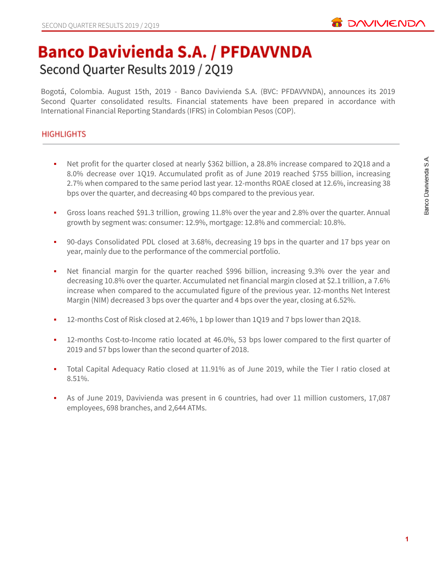

# **Banco Davivienda S.A. / PFDAVVNDA** Second Quarter Results 2019 / 2Q19

Bogotá, Colombia. August 15th, 2019 - Banco Davivienda S.A. (BVC: PFDAVVNDA), announces its 2019 Second Quarter consolidated results. Financial statements have been prepared in accordance with International Financial Reporting Standards (IFRS) in Colombian Pesos (COP).

# **HIGHLIGHTS**

- Net profit for the quarter closed at nearly \$362 billion, a 28.8% increase compared to 2Q18 and a 8.0% decrease over 1Q19. Accumulated profit as of June 2019 reached \$755 billion, increasing 2.7% when compared to the same period last year. 12-months ROAE closed at 12.6%, increasing 38 bps over the quarter, and decreasing 40 bps compared to the previous year.
- Gross loans reached \$91.3 trillion, growing 11.8% over the year and 2.8% over the quarter. Annual growth by segment was: consumer: 12.9%, mortgage: 12.8% and commercial: 10.8%.
- 90-days Consolidated PDL closed at 3.68%, decreasing 19 bps in the quarter and 17 bps year on year, mainly due to the performance of the commercial portfolio.
- Net financial margin for the quarter reached \$996 billion, increasing 9.3% over the year and decreasing 10.8% over the quarter. Accumulated net financial margin closed at \$2.1 trillion, a 7.6% increase when compared to the accumulated figure of the previous year. 12-months Net Interest Margin (NIM) decreased 3 bps over the quarter and 4 bps over the year, closing at 6.52%.
- 12-months Cost of Risk closed at 2.46%, 1 bp lower than 1Q19 and 7 bps lower than 2Q18.
- 12-months Cost-to-Income ratio located at 46.0%, 53 bps lower compared to the first quarter of 2019 and 57 bps lower than the second quarter of 2018.
- Total Capital Adequacy Ratio closed at 11.91% as of June 2019, while the Tier I ratio closed at 8.51%.
- As of June 2019, Davivienda was present in 6 countries, had over 11 million customers, 17,087 employees, 698 branches, and 2,644 ATMs.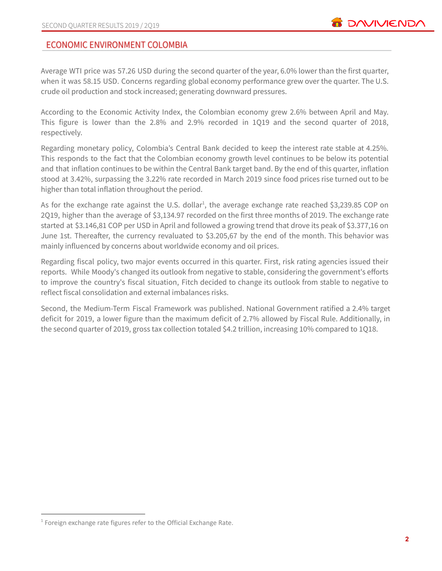# **ECONOMIC ENVIRONMENT COLOMBIA**

Average WTI price was 57.26 USD during the second quarter of the year, 6.0% lower than the first quarter, when it was 58.15 USD. Concerns regarding global economy performance grew over the quarter. The U.S. crude oil production and stock increased; generating downward pressures.

According to the Economic Activity Index, the Colombian economy grew 2.6% between April and May. This figure is lower than the 2.8% and 2.9% recorded in 1Q19 and the second quarter of 2018, respectively.

Regarding monetary policy, Colombia's Central Bank decided to keep the interest rate stable at 4.25%. This responds to the fact that the Colombian economy growth level continues to be below its potential and that inflation continues to be within the Central Bank target band. By the end of this quarter, inflation stood at 3.42%, surpassing the 3.22% rate recorded in March 2019 since food prices rise turned out to be higher than total inflation throughout the period.

As for the exchange rate against the U.S. dollar<sup>1</sup>, the average exchange rate reached \$3,239.85 COP on 2Q19, higher than the average of \$3,134.97 recorded on the first three months of 2019. The exchange rate started at \$3.146,81 COP per USD in April and followed a growing trend that drove its peak of \$3.377,16 on June 1st. Thereafter, the currency revaluated to \$3.205,67 by the end of the month. This behavior was mainly influenced by concerns about worldwide economy and oil prices.

Regarding fiscal policy, two major events occurred in this quarter. First, risk rating agencies issued their reports. While Moody's changed its outlook from negative to stable, considering the government's efforts to improve the country's fiscal situation, Fitch decided to change its outlook from stable to negative to reflect fiscal consolidation and external imbalances risks.

Second, the Medium-Term Fiscal Framework was published. National Government ratified a 2.4% target deficit for 2019, a lower figure than the maximum deficit of 2.7% allowed by Fiscal Rule. Additionally, in the second quarter of 2019, gross tax collection totaled \$4.2 trillion, increasing 10% compared to 1Q18.

 $1$  Foreign exchange rate figures refer to the Official Exchange Rate.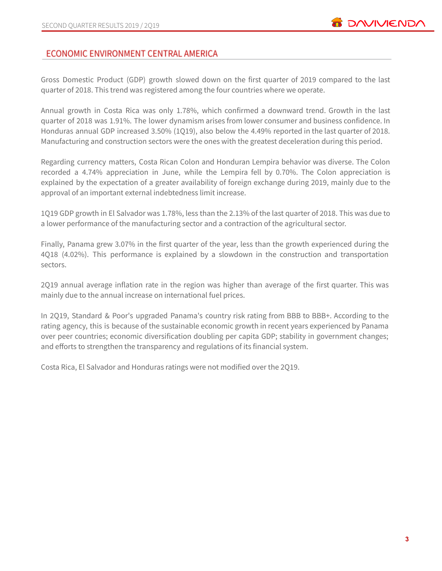# ECONOMIC ENVIRONMENT CENTRAL AMERICA

Gross Domestic Product (GDP) growth slowed down on the first quarter of 2019 compared to the last quarter of 2018. This trend was registered among the four countries where we operate.

Annual growth in Costa Rica was only 1.78%, which confirmed a downward trend. Growth in the last quarter of 2018 was 1.91%. The lower dynamism arises from lower consumer and business confidence. In Honduras annual GDP increased 3.50% (1Q19), also below the 4.49% reported in the last quarter of 2018. Manufacturing and construction sectors were the ones with the greatest deceleration during this period.

Regarding currency matters, Costa Rican Colon and Honduran Lempira behavior was diverse. The Colon recorded a 4.74% appreciation in June, while the Lempira fell by 0.70%. The Colon appreciation is explained by the expectation of a greater availability of foreign exchange during 2019, mainly due to the approval of an important external indebtedness limit increase.

1Q19 GDP growth in El Salvador was 1.78%, less than the 2.13% of the last quarter of 2018. This was due to a lower performance of the manufacturing sector and a contraction of the agricultural sector.

Finally, Panama grew 3.07% in the first quarter of the year, less than the growth experienced during the 4Q18 (4.02%). This performance is explained by a slowdown in the construction and transportation sectors.

2Q19 annual average inflation rate in the region was higher than average of the first quarter. This was mainly due to the annual increase on international fuel prices.

In 2Q19, Standard & Poor's upgraded Panama's country risk rating from BBB to BBB+. According to the rating agency, this is because of the sustainable economic growth in recent years experienced by Panama over peer countries; economic diversification doubling per capita GDP; stability in government changes; and efforts to strengthen the transparency and regulations of its financial system.

Costa Rica, El Salvador and Honduras ratings were not modified over the 2Q19.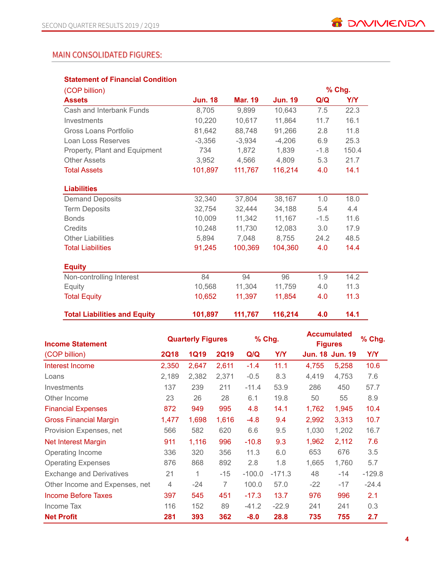# **MAIN CONSOLIDATED FIGURES:**

### **Statement of Financial Condition**

| <b>Jun. 18</b> | <b>Mar. 19</b>                                                                                                                                      | <b>Jun. 19</b> |         |            |
|----------------|-----------------------------------------------------------------------------------------------------------------------------------------------------|----------------|---------|------------|
|                |                                                                                                                                                     |                | Q/Q     | <b>Y/Y</b> |
|                | 9,899                                                                                                                                               | 10,643         | 7.5     | 22.3       |
|                | 10,617                                                                                                                                              | 11,864         | 11.7    | 16.1       |
|                | 88,748                                                                                                                                              | 91,266         | 2.8     | 11.8       |
|                | $-3,934$                                                                                                                                            | $-4,206$       | 6.9     | 25.3       |
| 734            | 1,872                                                                                                                                               | 1,839          | $-1.8$  | 150.4      |
|                | 4,566                                                                                                                                               | 4,809          | 5.3     | 21.7       |
|                | 111,767                                                                                                                                             | 116,214        | 4.0     | 14.1       |
|                |                                                                                                                                                     |                |         |            |
|                |                                                                                                                                                     |                |         |            |
|                | 37,804                                                                                                                                              | 38,167         | 1.0     | 18.0       |
|                | 32,444                                                                                                                                              | 34,188         | 5.4     | 4.4        |
|                | 11,342                                                                                                                                              | 11,167         | $-1.5$  | 11.6       |
|                | 11,730                                                                                                                                              | 12,083         | 3.0     | 17.9       |
|                | 7,048                                                                                                                                               | 8,755          | 24.2    | 48.5       |
|                | 100,369                                                                                                                                             | 104,360        | 4.0     | 14.4       |
|                |                                                                                                                                                     |                |         |            |
|                |                                                                                                                                                     |                |         |            |
| 84             | 94                                                                                                                                                  | 96             | 1.9     | 14.2       |
|                | 11,304                                                                                                                                              | 11,759         | 4.0     | 11.3       |
|                | 11,397                                                                                                                                              | 11,854         | 4.0     | 11.3       |
|                |                                                                                                                                                     |                |         | 14.1       |
|                | 8,705<br>10,220<br>81,642<br>$-3,356$<br>3,952<br>101,897<br>32,340<br>32,754<br>10.009<br>10,248<br>5,894<br>91,245<br>10,568<br>10,652<br>101,897 | 111,767        | 116,214 | 4.0        |

| <b>Income Statement</b>         |             | <b>Quarterly Figures</b> |                |          | % Chg.     | <b>Accumulated</b><br><b>Figures</b> | % Chg. |          |
|---------------------------------|-------------|--------------------------|----------------|----------|------------|--------------------------------------|--------|----------|
| (COP billion)                   | <b>2Q18</b> | <b>1Q19</b>              | <b>2Q19</b>    | Q/Q      | <b>Y/Y</b> | <b>Jun. 18 Jun. 19</b>               |        | Y/Y      |
| Interest Income                 | 2,350       | 2,647                    | 2,611          | $-1.4$   | 11.1       | 4,755                                | 5,258  | 10.6     |
| Loans                           | 2,189       | 2,382                    | 2,371          | $-0.5$   | 8.3        | 4,419                                | 4,753  | 7.6      |
| <b>Investments</b>              | 137         | 239                      | 211            | $-11.4$  | 53.9       | 286                                  | 450    | 57.7     |
| Other Income                    | 23          | 26                       | 28             | 6.1      | 19.8       | 50                                   | 55     | 8.9      |
| <b>Financial Expenses</b>       | 872         | 949                      | 995            | 4.8      | 14.1       | 1,762                                | 1,945  | 10.4     |
| <b>Gross Financial Margin</b>   | 1,477       | 1,698                    | 1,616          | $-4.8$   | 9.4        | 2,992                                | 3,313  | 10.7     |
| Provision Expenses, net         | 566         | 582                      | 620            | 6.6      | 9.5        | 1,030                                | 1,202  | 16.7     |
| <b>Net Interest Margin</b>      | 911         | 1,116                    | 996            | $-10.8$  | 9.3        | 1,962                                | 2,112  | 7.6      |
| Operating Income                | 336         | 320                      | 356            | 11.3     | 6.0        | 653                                  | 676    | 3.5      |
| <b>Operating Expenses</b>       | 876         | 868                      | 892            | 2.8      | 1.8        | 1,665                                | 1,760  | 5.7      |
| <b>Exchange and Derivatives</b> | 21          | 1                        | $-15$          | $-100.0$ | $-171.3$   | 48                                   | $-14$  | $-129.8$ |
| Other Income and Expenses, net  | 4           | $-24$                    | $\overline{7}$ | 100.0    | 57.0       | $-22$                                | $-17$  | $-24.4$  |
| Income Before Taxes             | 397         | 545                      | 451            | $-17.3$  | 13.7       | 976                                  | 996    | 2.1      |
| Income Tax                      | 116         | 152                      | 89             | $-41.2$  | $-22.9$    | 241                                  | 241    | 0.3      |
| <b>Net Profit</b>               | 281         | 393                      | 362            | $-8.0$   | 28.8       | 735                                  | 755    | 2.7      |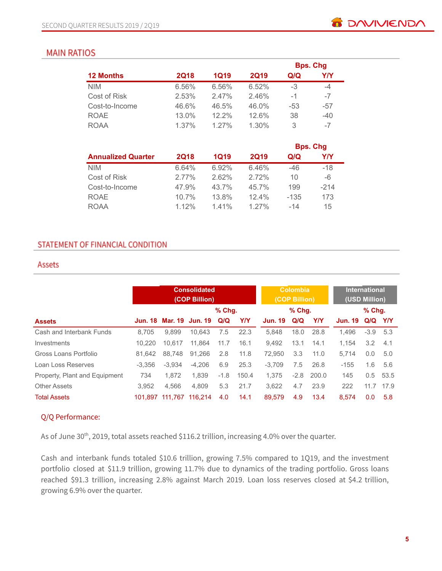# **MAIN RATIOS**

|                  |             |             |             |     | <b>Bps. Chg</b> |
|------------------|-------------|-------------|-------------|-----|-----------------|
| <b>12 Months</b> | <b>2Q18</b> | <b>1Q19</b> | <b>2Q19</b> | Q/Q | Y/Y             |
| <b>NIM</b>       | 6.56%       | 6.56%       | 6.52%       | -3  | -4              |
| Cost of Risk     | 2.53%       | 2.47%       | 2.46%       | -1  | $-7$            |
| Cost-to-Income   | 46.6%       | 46.5%       | 46.0%       | -53 | $-57$           |
| <b>ROAE</b>      | 13.0%       | $12.2\%$    | 12.6%       | 38  | $-40$           |
| <b>ROAA</b>      | 1.37%       | $1.27\%$    | 1.30%       | 3   | $-7$            |

|                           |             |             |             |        | <b>Bps. Chg</b> |
|---------------------------|-------------|-------------|-------------|--------|-----------------|
| <b>Annualized Quarter</b> | <b>2Q18</b> | <b>1Q19</b> | <b>2Q19</b> | Q/Q    | Y/Y             |
| <b>NIM</b>                | 6.64%       | 6.92%       | 6.46%       | $-46$  | $-18$           |
| Cost of Risk              | 2.77%       | 2.62%       | 2.72%       | 10     | -6              |
| Cost-to-Income            | 47.9%       | 43.7%       | 45.7%       | 199    | $-214$          |
| <b>ROAE</b>               | 10.7%       | 13.8%       | 12.4%       | $-135$ | 173             |
| <b>ROAA</b>               | 1.12%       | 141%        | $1.27\%$    | $-14$  | 15              |

# STATEMENT OF FINANCIAL CONDITION

### Assets

|                               |          | <b>Consolidated</b><br>(COP Billion) |          |          |            |                | <b>Colombia</b><br>(COP Billion) |            | <b>International</b><br>(USD Million) |               |           |
|-------------------------------|----------|--------------------------------------|----------|----------|------------|----------------|----------------------------------|------------|---------------------------------------|---------------|-----------|
|                               |          |                                      |          | $%$ Chq. |            |                | $%$ Chq.                         |            |                                       | $%$ Chq.      |           |
| <b>Assets</b>                 |          | Jun. 18 Mar. 19 Jun. 19              |          | Q/Q      | <b>Y/Y</b> | <b>Jun. 19</b> | Q/Q                              | <b>Y/Y</b> | <b>Jun. 19</b>                        | Q/Q Y/Y       |           |
| Cash and Interbank Funds      | 8.705    | 9.899                                | 10.643   | 7.5      | 22.3       | 5.848          | 18.0                             | 28.8       | 1.496                                 | $-3.9$ 5.3    |           |
| Investments                   | 10.220   | 10.617                               | 11.864   | 11.7     | 16.1       | 9.492          | 13.1                             | 14.1       | 1.154                                 | 3.2           | 4.1       |
| Gross Loans Portfolio         | 81.642   | 88,748                               | 91.266   | 2.8      | 11.8       | 72.950         | 3.3                              | 11.0       | 5.714                                 | 0.0           | 5.0       |
| Loan Loss Reserves            | $-3.356$ | $-3.934$                             | $-4.206$ | 6.9      | 25.3       | $-3.709$       | 7.5                              | 26.8       | $-155$                                | 1.6           | 5.6       |
| Property, Plant and Equipment | 734      | 1.872                                | 1.839    | $-1.8$   | 150.4      | 1.375          | $-2.8$                           | 200.0      | 145                                   | $0.5^{\circ}$ | 53.5      |
| <b>Other Assets</b>           | 3,952    | 4.566                                | 4.809    | 5.3      | 21.7       | 3.622          | 4.7                              | 23.9       | 222                                   |               | 11.7 17.9 |
| <b>Total Assets</b>           |          | 101,897 111,767                      | 116.214  | 4.0      | 14.1       | 89,579         | 4.9                              | 13.4       | 8.574                                 | 0.0           | 5.8       |

# Q/Q Performance:

As of June 30<sup>th</sup>, 2019, total assets reached \$116.2 trillion, increasing 4.0% over the quarter.

Cash and interbank funds totaled \$10.6 trillion, growing 7.5% compared to 1Q19, and the investment portfolio closed at \$11.9 trillion, growing 11.7% due to dynamics of the trading portfolio. Gross loans reached \$91.3 trillion, increasing 2.8% against March 2019. Loan loss reserves closed at \$4.2 trillion, growing 6.9% over the quarter.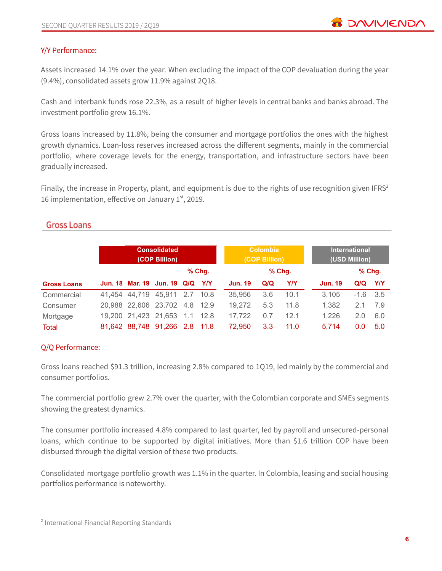# Y/Y Performance:

Assets increased 14.1% over the year. When excluding the impact of the COP devaluation during the year (9.4%), consolidated assets grow 11.9% against 2Q18.

Cash and interbank funds rose 22.3%, as a result of higher levels in central banks and banks abroad. The investment portfolio grew 16.1%.

Gross loans increased by 11.8%, being the consumer and mortgage portfolios the ones with the highest growth dynamics. Loan-loss reserves increased across the different segments, mainly in the commercial portfolio, where coverage levels for the energy, transportation, and infrastructure sectors have been gradually increased.

Finally, the increase in Property, plant, and equipment is due to the rights of use recognition given IFRS $2$ 16 implementation, effective on January  $1<sup>st</sup>$ , 2019.

# **Gross Loans**

|                    | <b>Consolidated</b><br>(COP Billion) |  |                               |  |            |                | <b>Colombia</b><br>(COP Billion) |          | <b>International</b><br>(USD Million) |                |          |     |
|--------------------|--------------------------------------|--|-------------------------------|--|------------|----------------|----------------------------------|----------|---------------------------------------|----------------|----------|-----|
|                    |                                      |  |                               |  | $%$ Chg.   |                |                                  | $%$ Chg. |                                       |                | $%$ Chg. |     |
| <b>Gross Loans</b> |                                      |  | Jun. 18 Mar. 19 Jun. 19 Q/Q   |  | <b>Y/Y</b> | <b>Jun. 19</b> | Q/Q                              | Y/Y      |                                       | <b>Jun. 19</b> | Q/Q      | Y/Y |
| Commercial         |                                      |  | 41,454 44,719 45,911 2.7 10.8 |  |            | 35,956         | 3.6                              | 10.1     |                                       | 3.105          | $-1.6$   | 3.5 |
| Consumer           |                                      |  | 20,988 22,606 23,702 4.8 12.9 |  |            | 19.272         | 5.3                              | 11.8     |                                       | 1.382          | 2.1      | 7.9 |
| Mortgage           |                                      |  | 19,200 21,423 21,653          |  | 1.1 12.8   | 17.722         | 0.7                              | 12.1     |                                       | 1.226          | 2.0      | 6.0 |
| <b>Total</b>       |                                      |  | 81,642 88,748 91,266 2.8      |  | - 11.8     | 72.950         | 3.3                              | 11.0     |                                       | 5.714          | 0.0      | 5.0 |

# Q/Q Performance:

Gross loans reached \$91.3 trillion, increasing 2.8% compared to 1Q19, led mainly by the commercial and consumer portfolios.

The commercial portfolio grew 2.7% over the quarter, with the Colombian corporate and SMEs segments showing the greatest dynamics.

The consumer portfolio increased 4.8% compared to last quarter, led by payroll and unsecured-personal loans, which continue to be supported by digital initiatives. More than \$1.6 trillion COP have been disbursed through the digital version of these two products.

Consolidated mortgage portfolio growth was 1.1% in the quarter. In Colombia, leasing and social housing portfolios performance is noteworthy.

<sup>2</sup> International Financial Reporting Standards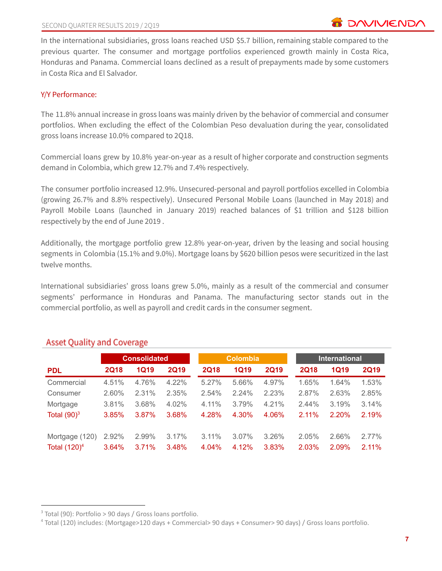In the international subsidiaries, gross loans reached USD \$5.7 billion, remaining stable compared to the previous quarter. The consumer and mortgage portfolios experienced growth mainly in Costa Rica, Honduras and Panama. Commercial loans declined as a result of prepayments made by some customers in Costa Rica and El Salvador.

# Y/Y Performance:

The 11.8% annual increase in gross loans was mainly driven by the behavior of commercial and consumer portfolios. When excluding the effect of the Colombian Peso devaluation during the year, consolidated gross loans increase 10.0% compared to 2Q18.

Commercial loans grew by 10.8% year-on-year as a result of higher corporate and construction segments demand in Colombia, which grew 12.7% and 7.4% respectively.

The consumer portfolio increased 12.9%. Unsecured-personal and payroll portfolios excelled in Colombia (growing 26.7% and 8.8% respectively). Unsecured Personal Mobile Loans (launched in May 2018) and Payroll Mobile Loans (launched in January 2019) reached balances of \$1 trillion and \$128 billion respectively by the end of June 2019 .

Additionally, the mortgage portfolio grew 12.8% year-on-year, driven by the leasing and social housing segments in Colombia (15.1% and 9.0%). Mortgage loans by \$620 billion pesos were securitized in the last twelve months.

International subsidiaries' gross loans grew 5.0%, mainly as a result of the commercial and consumer segments' performance in Honduras and Panama. The manufacturing sector stands out in the commercial portfolio, as well as payroll and credit cards in the consumer segment.

|                 |             | <b>Consolidated</b> |             |             | <b>Colombia</b> |             |             | <b>International</b> |             |
|-----------------|-------------|---------------------|-------------|-------------|-----------------|-------------|-------------|----------------------|-------------|
| <b>PDL</b>      | <b>2Q18</b> | <b>1Q19</b>         | <b>2Q19</b> | <b>2Q18</b> | <b>1Q19</b>     | <b>2Q19</b> | <b>2Q18</b> | 1Q19                 | <b>2Q19</b> |
| Commercial      | 4.51%       | 4.76%               | 4.22%       | 5.27%       | 5.66%           | 4.97%       | 1.65%       | 1.64%                | 1.53%       |
| Consumer        | 2.60%       | 2.31%               | 2.35%       | 2.54%       | 2.24%           | 2.23%       | 2.87%       | 2.63%                | 2.85%       |
| Mortgage        | 3.81%       | 3.68%               | 4.02%       | 4.11%       | 3.79%           | 4.21%       | 2.44%       | 3.19%                | 3.14%       |
| Total $(90)^3$  | 3.85%       | 3.87%               | 3.68%       | 4.28%       | 4.30%           | 4.06%       | 2.11%       | 2.20%                | 2.19%       |
| Mortgage (120)  | 2.92%       | 2.99%               | 3.17%       | 3.11%       | 3.07%           | 3.26%       | 2.05%       | 2.66%                | 2.77%       |
| Total $(120)^4$ | 3.64%       | 3.71%               | 3.48%       | 4.04%       | 4.12%           | 3.83%       | 2.03%       | 2.09%                | 2.11%       |

# **Asset Quality and Coverage**

 $3$  Total (90): Portfolio > 90 days / Gross loans portfolio.

<sup>4</sup> Total (120) includes: (Mortgage>120 days + Commercial> 90 days + Consumer> 90 days) / Gross loans portfolio.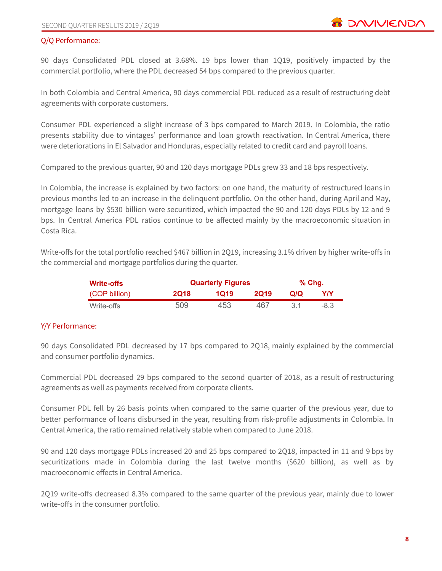### Q/Q Performance:

90 days Consolidated PDL closed at 3.68%. 19 bps lower than 1Q19, positively impacted by the commercial portfolio, where the PDL decreased 54 bps compared to the previous quarter.

In both Colombia and Central America, 90 days commercial PDL reduced as a result of restructuring debt agreements with corporate customers.

Consumer PDL experienced a slight increase of 3 bps compared to March 2019. In Colombia, the ratio presents stability due to vintages' performance and loan growth reactivation. In Central America, there were deteriorations in El Salvador and Honduras, especially related to credit card and payroll loans.

Compared to the previous quarter, 90 and 120 days mortgage PDLs grew 33 and 18 bps respectively.

In Colombia, the increase is explained by two factors: on one hand, the maturity of restructured loans in previous months led to an increase in the delinquent portfolio. On the other hand, during April and May, mortgage loans by \$530 billion were securitized, which impacted the 90 and 120 days PDLs by 12 and 9 bps. In Central America PDL ratios continue to be affected mainly by the macroeconomic situation in Costa Rica.

Write-offs for the total portfolio reached \$467 billion in 2Q19, increasing 3.1% driven by higher write-offs in the commercial and mortgage portfolios during the quarter.

| <b>Write-offs</b> |             | <b>Quarterly Figures</b> |             |      |        |  |  |  |  |
|-------------------|-------------|--------------------------|-------------|------|--------|--|--|--|--|
| (COP billion)     | <b>2Q18</b> | 1019                     | <b>2019</b> | Q/Q  | YN     |  |  |  |  |
| Write-offs        | 509         | 453                      | 467         | -3.1 | $-8.3$ |  |  |  |  |

# Y/Y Performance:

90 days Consolidated PDL decreased by 17 bps compared to 2Q18, mainly explained by the commercial and consumer portfolio dynamics.

Commercial PDL decreased 29 bps compared to the second quarter of 2018, as a result of restructuring agreements as well as payments received from corporate clients.

Consumer PDL fell by 26 basis points when compared to the same quarter of the previous year, due to better performance of loans disbursed in the year, resulting from risk-profile adjustments in Colombia. In Central America, the ratio remained relatively stable when compared to June 2018.

90 and 120 days mortgage PDLs increased 20 and 25 bps compared to 2Q18, impacted in 11 and 9 bps by securitizations made in Colombia during the last twelve months (\$620 billion), as well as by macroeconomic effects in Central America.

2Q19 write-offs decreased 8.3% compared to the same quarter of the previous year, mainly due to lower write-offs in the consumer portfolio.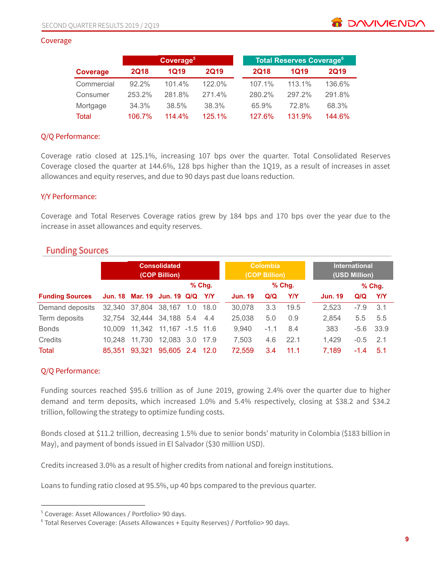#### Coverage

|              |             | Coverage <sup>5</sup> |             |  |             | <b>Total Reserves Coverage<sup>6</sup></b> |             |
|--------------|-------------|-----------------------|-------------|--|-------------|--------------------------------------------|-------------|
| Coverage     | <b>2Q18</b> | 1Q19                  | <b>2Q19</b> |  | <b>2Q18</b> | 1019                                       | <b>2Q19</b> |
| Commercial   | $92.2\%$    | 101.4%                | $122.0\%$   |  | 107.1%      | 113.1%                                     | 136.6%      |
| Consumer     | 253.2%      | 281.8%                | 271.4%      |  | 280.2%      | 297.2%                                     | 291.8%      |
| Mortgage     | 34.3%       | 38.5%                 | 38.3%       |  | 65.9%       | 72.8%                                      | 68.3%       |
| <b>Total</b> | 106.7%      | $114.4\%$             | 125.1%      |  | 127.6%      | 131.9%                                     | 144.6%      |

### Q/Q Performance:

Coverage ratio closed at 125.1%, increasing 107 bps over the quarter. Total Consolidated Reserves Coverage closed the quarter at 144.6%, 128 bps higher than the 1Q19, as a result of increases in asset allowances and equity reserves, and due to 90 days past due loans reduction.

### Y/Y Performance:

Coverage and Total Reserves Coverage ratios grew by 184 bps and 170 bps over the year due to the increase in asset allowances and equity reserves.

|  |  | <b>Funding Sources</b> |
|--|--|------------------------|
|  |  |                        |
|  |  |                        |

|                        |        | <b>Consolidated</b><br>(COP Billion) |                 |     |            |                | <b>Colombia</b><br>(COP Billion) |            | <b>International</b><br>(USD Million) |        |            |  |
|------------------------|--------|--------------------------------------|-----------------|-----|------------|----------------|----------------------------------|------------|---------------------------------------|--------|------------|--|
|                        |        |                                      |                 |     | $%$ Chg.   |                |                                  | $%$ Chg.   |                                       |        | $%$ Chg    |  |
| <b>Funding Sources</b> |        | Jun. 18 Mar. 19 Jun. 19 Q/Q          |                 |     | <b>Y/Y</b> | <b>Jun. 19</b> | Q/Q                              | <b>Y/Y</b> | <b>Jun. 19</b>                        | Q/Q    | <b>Y/Y</b> |  |
| Demand deposits        |        | 32,340 37,804 38,167                 |                 | 1.0 | - 18.0     | 30.078         | 3.3                              | 19.5       | 2,523                                 | $-7.9$ | $-3.1$     |  |
| Term deposits          |        | 32,754 32,444 34,188 5.4 4.4         |                 |     |            | 25,038         | 5.0                              | 0.9        | 2.854                                 | 5.5    | 5.5        |  |
| <b>Bonds</b>           |        | 10,009 11,342 11,167 -1.5 11.6       |                 |     |            | 9,940          | $-1.1$                           | 8.4        | 383                                   | -5.6   | 33.9       |  |
| <b>Credits</b>         | 10.248 | 11,730                               | 12,083 3.0 17.9 |     |            | 7,503          | 4.6                              | 22.1       | 1,429                                 | $-0.5$ | 2.1        |  |
| Total                  | 85.351 | 93.321                               | 95,605 2.4 12.0 |     |            | 72,559         | 3.4                              | 11.1       | 7,189                                 | $-1.4$ | 5.1        |  |

# Q/Q Performance:

Funding sources reached \$95.6 trillion as of June 2019, growing 2.4% over the quarter due to higher demand and term deposits, which increased 1.0% and 5.4% respectively, closing at \$38.2 and \$34.2 trillion, following the strategy to optimize funding costs.

Bonds closed at \$11.2 trillion, decreasing 1.5% due to senior bonds' maturity in Colombia (\$183 billion in May), and payment of bonds issued in El Salvador (\$30 million USD).

Credits increased 3.0% as a result of higher credits from national and foreign institutions.

Loans to funding ratio closed at 95.5%, up 40 bps compared to the previous quarter.

**B** DAVIVIEND/

<sup>5</sup> Coverage: Asset Allowances / Portfolio> 90 days.

<sup>6</sup> Total Reserves Coverage: (Assets Allowances + Equity Reserves) / Portfolio> 90 days.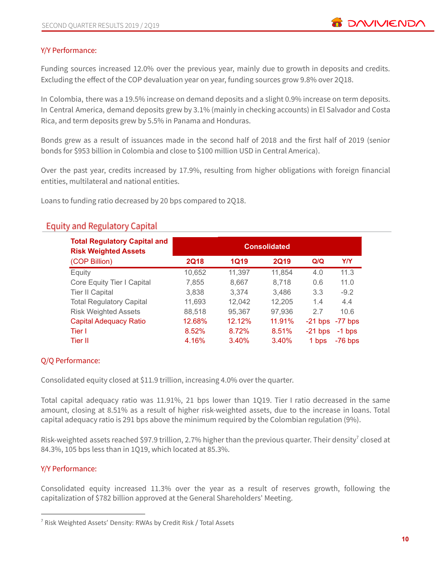### Y/Y Performance:

Funding sources increased 12.0% over the previous year, mainly due to growth in deposits and credits. Excluding the effect of the COP devaluation year on year, funding sources grow 9.8% over 2Q18.

In Colombia, there was a 19.5% increase on demand deposits and a slight 0.9% increase on term deposits. In Central America, demand deposits grew by 3.1% (mainly in checking accounts) in El Salvador and Costa Rica, and term deposits grew by 5.5% in Panama and Honduras.

Bonds grew as a result of issuances made in the second half of 2018 and the first half of 2019 (senior bonds for \$953 billion in Colombia and close to \$100 million USD in Central America).

Over the past year, credits increased by 17.9%, resulting from higher obligations with foreign financial entities, multilateral and national entities.

Loans to funding ratio decreased by 20 bps compared to 2Q18.

# **Equity and Regulatory Capital**

| <b>Total Regulatory Capital and</b><br><b>Risk Weighted Assets</b> |             |             | <b>Consolidated</b> |           |            |
|--------------------------------------------------------------------|-------------|-------------|---------------------|-----------|------------|
| (COP Billion)                                                      | <b>2Q18</b> | <b>1Q19</b> | <b>2Q19</b>         | Q/Q       | <b>Y/Y</b> |
| Equity                                                             | 10,652      | 11,397      | 11,854              | 4.0       | 11.3       |
| Core Equity Tier I Capital                                         | 7,855       | 8,667       | 8,718               | 0.6       | 11.0       |
| <b>Tier II Capital</b>                                             | 3,838       | 3.374       | 3,486               | 3.3       | $-9.2$     |
| <b>Total Regulatory Capital</b>                                    | 11,693      | 12,042      | 12,205              | 1.4       | 4.4        |
| <b>Risk Weighted Assets</b>                                        | 88,518      | 95,367      | 97,936              | 2.7       | 10.6       |
| <b>Capital Adequacy Ratio</b>                                      | 12.68%      | 12.12%      | 11.91%              | $-21$ bps | $-77$ bps  |
| Tier I                                                             | 8.52%       | 8.72%       | 8.51%               | $-21$ bps | $-1$ bps   |
| Tier II                                                            | 4.16%       | 3.40%       | 3.40%               | 1 bps     | $-76$ bps  |

# Q/Q Performance:

Consolidated equity closed at \$11.9 trillion, increasing 4.0% over the quarter.

Total capital adequacy ratio was 11.91%, 21 bps lower than 1Q19. Tier I ratio decreased in the same amount, closing at 8.51% as a result of higher risk-weighted assets, due to the increase in loans. Total capital adequacy ratio is 291 bps above the minimum required by the Colombian regulation (9%).

Risk-weighted assets reached \$97.9 trillion, 2.7% higher than the previous quarter. Their density<sup>7</sup> closed at 84.3%, 105 bps less than in 1Q19, which located at 85.3%.

# Y/Y Performance:

Consolidated equity increased 11.3% over the year as a result of reserves growth, following the capitalization of \$782 billion approved at the General Shareholders' Meeting.

<sup>7</sup> Risk Weighted Assets' Density: RWAs by Credit Risk / Total Assets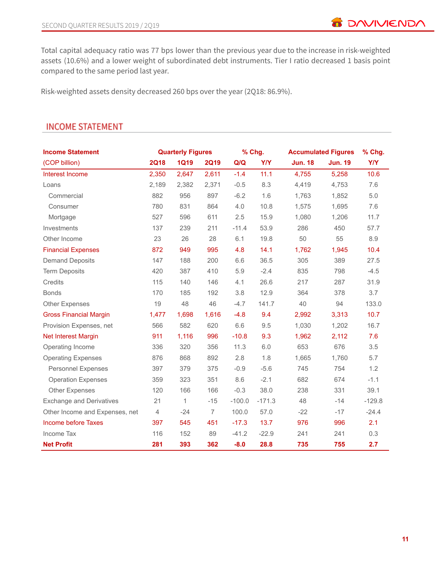**B** DAVIVIENDA

Total capital adequacy ratio was 77 bps lower than the previous year due to the increase in risk-weighted assets (10.6%) and a lower weight of subordinated debt instruments. Tier I ratio decreased 1 basis point compared to the same period last year.

Risk-weighted assets density decreased 260 bps over the year (2Q18: 86.9%).

| <b>Income Statement</b>         |                | <b>Quarterly Figures</b> |                |          | % Chg.     |                | <b>Accumulated Figures</b> | % Chg.     |
|---------------------------------|----------------|--------------------------|----------------|----------|------------|----------------|----------------------------|------------|
| (COP billion)                   | <b>2Q18</b>    | <b>1Q19</b>              | <b>2Q19</b>    | Q/Q      | <b>Y/Y</b> | <b>Jun. 18</b> | <b>Jun. 19</b>             | <b>Y/Y</b> |
| Interest Income                 | 2,350          | 2,647                    | 2,611          | $-1.4$   | 11.1       | 4,755          | 5,258                      | 10.6       |
| Loans                           | 2,189          | 2,382                    | 2,371          | $-0.5$   | 8.3        | 4,419          | 4,753                      | 7.6        |
| Commercial                      | 882            | 956                      | 897            | $-6.2$   | 1.6        | 1,763          | 1,852                      | 5.0        |
| Consumer                        | 780            | 831                      | 864            | 4.0      | 10.8       | 1,575          | 1,695                      | 7.6        |
| Mortgage                        | 527            | 596                      | 611            | 2.5      | 15.9       | 1,080          | 1,206                      | 11.7       |
| Investments                     | 137            | 239                      | 211            | $-11.4$  | 53.9       | 286            | 450                        | 57.7       |
| Other Income                    | 23             | 26                       | 28             | 6.1      | 19.8       | 50             | 55                         | 8.9        |
| <b>Financial Expenses</b>       | 872            | 949                      | 995            | 4.8      | 14.1       | 1,762          | 1,945                      | 10.4       |
| <b>Demand Deposits</b>          | 147            | 188                      | 200            | 6.6      | 36.5       | 305            | 389                        | 27.5       |
| <b>Term Deposits</b>            | 420            | 387                      | 410            | 5.9      | $-2.4$     | 835            | 798                        | $-4.5$     |
| Credits                         | 115            | 140                      | 146            | 4.1      | 26.6       | 217            | 287                        | 31.9       |
| <b>Bonds</b>                    | 170            | 185                      | 192            | 3.8      | 12.9       | 364            | 378                        | 3.7        |
| Other Expenses                  | 19             | 48                       | 46             | $-4.7$   | 141.7      | 40             | 94                         | 133.0      |
| <b>Gross Financial Margin</b>   | 1,477          | 1,698                    | 1,616          | $-4.8$   | 9.4        | 2,992          | 3,313                      | 10.7       |
| Provision Expenses, net         | 566            | 582                      | 620            | 6.6      | 9.5        | 1,030          | 1,202                      | 16.7       |
| Net Interest Margin             | 911            | 1,116                    | 996            | $-10.8$  | 9.3        | 1,962          | 2,112                      | 7.6        |
| Operating Income                | 336            | 320                      | 356            | 11.3     | $6.0\,$    | 653            | 676                        | 3.5        |
| <b>Operating Expenses</b>       | 876            | 868                      | 892            | 2.8      | 1.8        | 1,665          | 1,760                      | 5.7        |
| <b>Personnel Expenses</b>       | 397            | 379                      | 375            | $-0.9$   | $-5.6$     | 745            | 754                        | 1.2        |
| <b>Operation Expenses</b>       | 359            | 323                      | 351            | 8.6      | $-2.1$     | 682            | 674                        | $-1.1$     |
| <b>Other Expenses</b>           | 120            | 166                      | 166            | $-0.3$   | 38.0       | 238            | 331                        | 39.1       |
| <b>Exchange and Derivatives</b> | 21             | 1                        | $-15$          | $-100.0$ | $-171.3$   | 48             | $-14$                      | $-129.8$   |
| Other Income and Expenses, net  | $\overline{4}$ | $-24$                    | $\overline{7}$ | 100.0    | 57.0       | $-22$          | $-17$                      | $-24.4$    |
| Income before Taxes             | 397            | 545                      | 451            | $-17.3$  | 13.7       | 976            | 996                        | 2.1        |
| Income Tax                      | 116            | 152                      | 89             | $-41.2$  | $-22.9$    | 241            | 241                        | 0.3        |
| <b>Net Profit</b>               | 281            | 393                      | 362            | $-8.0$   | 28.8       | 735            | 755                        | 2.7        |

# **INCOME STATEMENT**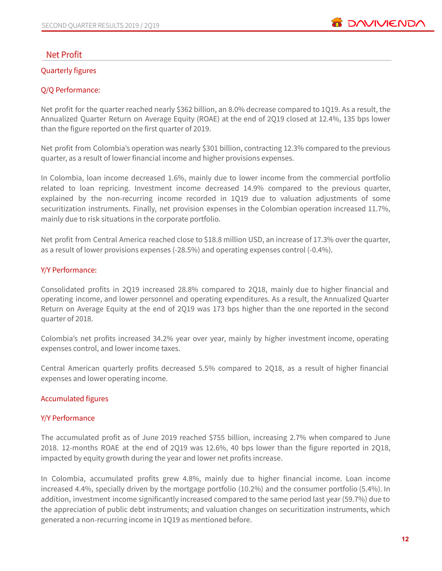

# **Net Profit**

### Quarterly figures

# Q/Q Performance:

Net profit for the quarter reached nearly \$362 billion, an 8.0% decrease compared to 1Q19. As a result, the Annualized Quarter Return on Average Equity (ROAE) at the end of 2Q19 closed at 12.4%, 135 bps lower than the figure reported on the first quarter of 2019.

Net profit from Colombia's operation was nearly \$301 billion, contracting 12.3% compared to the previous quarter, as a result of lower financial income and higher provisions expenses.

In Colombia, loan income decreased 1.6%, mainly due to lower income from the commercial portfolio related to loan repricing. Investment income decreased 14.9% compared to the previous quarter, explained by the non-recurring income recorded in 1Q19 due to valuation adjustments of some securitization instruments. Finally, net provision expenses in the Colombian operation increased 11.7%, mainly due to risk situations in the corporate portfolio.

Net profit from Central America reached close to \$18.8 million USD, an increase of 17.3% over the quarter, as a result of lower provisions expenses (-28.5%) and operating expenses control (-0.4%).

### Y/Y Performance:

Consolidated profits in 2Q19 increased 28.8% compared to 2Q18, mainly due to higher financial and operating income, and lower personnel and operating expenditures. As a result, the Annualized Quarter Return on Average Equity at the end of 2Q19 was 173 bps higher than the one reported in the second quarter of 2018.

Colombia's net profits increased 34.2% year over year, mainly by higher investment income, operating expenses control, and lower income taxes.

Central American quarterly profits decreased 5.5% compared to 2Q18, as a result of higher financial expenses and lower operating income.

# Accumulated figures

# Y/Y Performance

The accumulated profit as of June 2019 reached \$755 billion, increasing 2.7% when compared to June 2018. 12-months ROAE at the end of 2Q19 was 12.6%, 40 bps lower than the figure reported in 2Q18, impacted by equity growth during the year and lower net profits increase.

In Colombia, accumulated profits grew 4.8%, mainly due to higher financial income. Loan income increased 4.4%, specially driven by the mortgage portfolio (10.2%) and the consumer portfolio (5.4%). In addition, investment income significantly increased compared to the same period last year (59.7%) due to the appreciation of public debt instruments; and valuation changes on securitization instruments, which generated a non-recurring income in 1Q19 as mentioned before.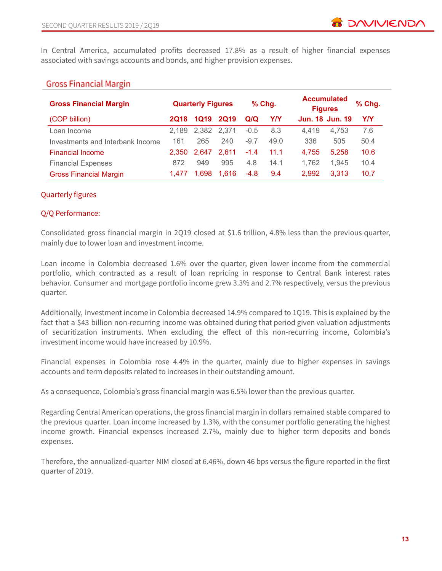In Central America, accumulated profits decreased 17.8% as a result of higher financial expenses associated with savings accounts and bonds, and higher provision expenses.

# **Gross Financial Margin**

| <b>Gross Financial Margin</b>    |       | <b>Quarterly Figures</b> |             |        | $%$ Chg. | <b>Accumulated</b><br><b>Figures</b> |       | % Chg. |
|----------------------------------|-------|--------------------------|-------------|--------|----------|--------------------------------------|-------|--------|
| (COP billion)                    | 2Q18  | 1Q19                     | <b>2Q19</b> | Q/Q    | YN       | Jun. 18 Jun. 19                      |       | YN     |
| Loan Income                      | 2.189 | 2.382                    | 2.371       | $-0.5$ | 8.3      | 4.419                                | 4.753 | 7.6    |
| Investments and Interbank Income | 161   | 265                      | 240         | $-9.7$ | 49.0     | 336                                  | 505   | 50.4   |
| <b>Financial Income</b>          | 2.350 | 2.647                    | 2.611       | $-1.4$ | 11.1     | 4,755                                | 5,258 | 10.6   |
| <b>Financial Expenses</b>        | 872   | 949                      | 995         | 4.8    | 14.1     | 1.762                                | 1.945 | 10.4   |
| <b>Gross Financial Margin</b>    | 1.477 | 1.698                    | 1.616       | $-4.8$ | 9.4      | 2.992                                | 3.313 | 10.7   |

### Quarterly figures

### Q/Q Performance:

Consolidated gross financial margin in 2Q19 closed at \$1.6 trillion, 4.8% less than the previous quarter, mainly due to lower loan and investment income.

Loan income in Colombia decreased 1.6% over the quarter, given lower income from the commercial portfolio, which contracted as a result of loan repricing in response to Central Bank interest rates behavior. Consumer and mortgage portfolio income grew 3.3% and 2.7% respectively, versus the previous quarter.

Additionally, investment income in Colombia decreased 14.9% compared to 1Q19. This is explained by the fact that a \$43 billion non-recurring income was obtained during that period given valuation adjustments of securitization instruments. When excluding the effect of this non-recurring income, Colombia's investment income would have increased by 10.9%.

Financial expenses in Colombia rose 4.4% in the quarter, mainly due to higher expenses in savings accounts and term deposits related to increases in their outstanding amount.

As a consequence, Colombia's gross financial margin was 6.5% lower than the previous quarter.

Regarding Central American operations, the gross financial margin in dollars remained stable compared to the previous quarter. Loan income increased by 1.3%, with the consumer portfolio generating the highest income growth. Financial expenses increased 2.7%, mainly due to higher term deposits and bonds expenses.

Therefore, the annualized-quarter NIM closed at 6.46%, down 46 bps versus the figure reported in the first quarter of 2019.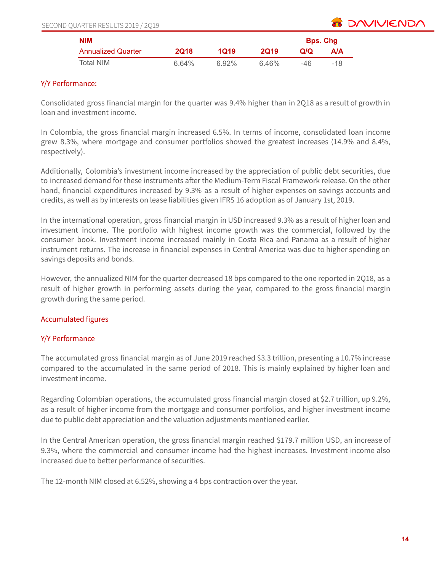| SECOND QUARTER RESULTS 2019 / 2Q19 |  |  |
|------------------------------------|--|--|
|                                    |  |  |



| <b>NIM</b>                |       |       |             |     | <b>Bps. Chg</b> |  |
|---------------------------|-------|-------|-------------|-----|-----------------|--|
| <b>Annualized Quarter</b> | 2018  | 1019  | <b>2019</b> | വര  | A/A             |  |
| Total NIM                 | 6.64% | 6.92% | 6.46%       | -46 | $-18$           |  |

# Y/Y Performance:

Consolidated gross financial margin for the quarter was 9.4% higher than in 2Q18 as a result of growth in loan and investment income.

In Colombia, the gross financial margin increased 6.5%. In terms of income, consolidated loan income grew 8.3%, where mortgage and consumer portfolios showed the greatest increases (14.9% and 8.4%, respectively).

Additionally, Colombia's investment income increased by the appreciation of public debt securities, due to increased demand for these instruments after the Medium-Term Fiscal Framework release. On the other hand, financial expenditures increased by 9.3% as a result of higher expenses on savings accounts and credits, as well as by interests on lease liabilities given IFRS 16 adoption as of January 1st, 2019.

In the international operation, gross financial margin in USD increased 9.3% as a result of higher loan and investment income. The portfolio with highest income growth was the commercial, followed by the consumer book. Investment income increased mainly in Costa Rica and Panama as a result of higher instrument returns. The increase in financial expenses in Central America was due to higher spending on savings deposits and bonds.

However, the annualized NIM for the quarter decreased 18 bps compared to the one reported in 2Q18, as a result of higher growth in performing assets during the year, compared to the gross financial margin growth during the same period.

# Accumulated figures

# Y/Y Performance

The accumulated gross financial margin as of June 2019 reached \$3.3 trillion, presenting a 10.7% increase compared to the accumulated in the same period of 2018. This is mainly explained by higher loan and investment income.

Regarding Colombian operations, the accumulated gross financial margin closed at \$2.7 trillion, up 9.2%, as a result of higher income from the mortgage and consumer portfolios, and higher investment income due to public debt appreciation and the valuation adjustments mentioned earlier.

In the Central American operation, the gross financial margin reached \$179.7 million USD, an increase of 9.3%, where the commercial and consumer income had the highest increases. Investment income also increased due to better performance of securities.

The 12-month NIM closed at 6.52%, showing a 4 bps contraction over the year.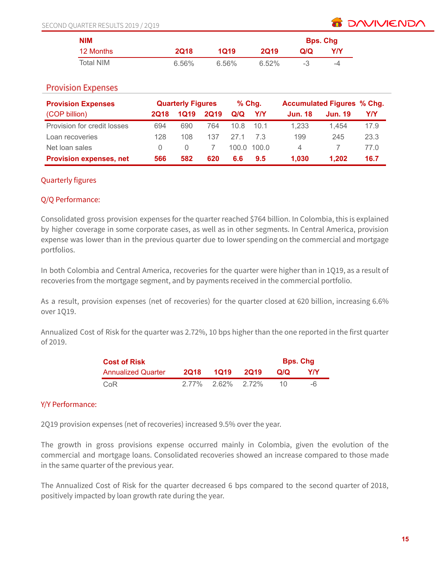

| <b>NIM</b> |             |       |       |      | <b>Bps. Chg</b> |
|------------|-------------|-------|-------|------|-----------------|
| 12 Months  | <b>2018</b> | 1019  | 2019  | Q/Q  | Y/Y             |
| Total NIM  | 6.56%       | 6.56% | 6.52% | $-3$ | -4              |

# **Provision Expenses**

| <b>Provision Expenses</b>      |                  | <b>Quarterly Figures</b> |             |      | $%$ Chg.   |                | <b>Accumulated Figures % Chg.</b> |      |
|--------------------------------|------------------|--------------------------|-------------|------|------------|----------------|-----------------------------------|------|
| (COP billion)                  | 2Q18             | 1Q19                     | <b>2Q19</b> | Q/Q  | YN         | <b>Jun. 18</b> | <b>Jun. 19</b>                    | Y/Y  |
| Provision for credit losses    | 694              | 690                      | 764         | 10.8 | 10.1       | 1.233          | 1.454                             | 17.9 |
| Loan recoveries                | 128              | 108                      | 137         | 271  |            | 199            | 245                               | 23.3 |
| Net loan sales                 | $\left( \right)$ | $\left( \right)$         |             |      | 100.0100.0 | 4              |                                   | 77.0 |
| <b>Provision expenses, net</b> | 566              | 582                      | 620         | 6.6  | 9.5        | 1.030          | 1.202                             | 16.7 |

### Quarterly figures

### Q/Q Performance:

Consolidated gross provision expenses for the quarter reached \$764 billion. In Colombia, this is explained by higher coverage in some corporate cases, as well as in other segments. In Central America, provision expense was lower than in the previous quarter due to lower spending on the commercial and mortgage portfolios.

In both Colombia and Central America, recoveries for the quarter were higher than in 1Q19, as a result of recoveries from the mortgage segment, and by payments received in the commercial portfolio.

As a result, provision expenses (net of recoveries) for the quarter closed at 620 billion, increasing 6.6% over 1Q19.

Annualized Cost of Risk for the quarter was 2.72%, 10 bps higher than the one reported in the first quarter of 2019.

| <b>Cost of Risk</b>       |      | <b>Bps. Chg</b>      |  |      |      |
|---------------------------|------|----------------------|--|------|------|
| <b>Annualized Quarter</b> | 2018 | 1Q19 2Q19            |  | OIO. | YN   |
| CoR                       |      | $2.77\%$ 2.62% 2.72% |  | 10   | $-6$ |

# Y/Y Performance:

2Q19 provision expenses (net of recoveries) increased 9.5% over the year.

The growth in gross provisions expense occurred mainly in Colombia, given the evolution of the commercial and mortgage loans. Consolidated recoveries showed an increase compared to those made in the same quarter of the previous year.

The Annualized Cost of Risk for the quarter decreased 6 bps compared to the second quarter of 2018, positively impacted by loan growth rate during the year.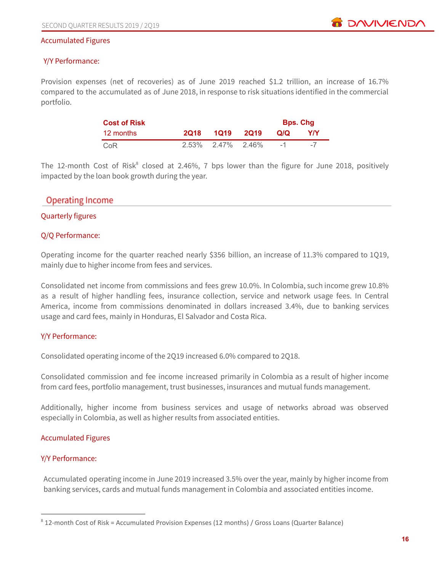**BE DAVIVIEND** 

#### Accumulated Figures

### Y/Y Performance:

Provision expenses (net of recoveries) as of June 2019 reached \$1.2 trillion, an increase of 16.7% compared to the accumulated as of June 2018, in response to risk situations identified in the commercial portfolio.

| <b>Cost of Risk</b> |             |                      | <b>Bps. Chg</b> |     |
|---------------------|-------------|----------------------|-----------------|-----|
| 12 months           | <b>2018</b> | 1Q19 2Q19            | Q/Q             | Y/Y |
| CoR                 |             | $2.53\%$ 2.47% 2.46% | $-1$            |     |

The 12-month Cost of Risk<sup>8</sup> closed at 2.46%, 7 bps lower than the figure for June 2018, positively impacted by the loan book growth during the year.

# **Operating Income**

### Quarterly figures

### Q/Q Performance:

Operating income for the quarter reached nearly \$356 billion, an increase of 11.3% compared to 1Q19, mainly due to higher income from fees and services.

Consolidated net income from commissions and fees grew 10.0%. In Colombia, such income grew 10.8% as a result of higher handling fees, insurance collection, service and network usage fees. In Central America, income from commissions denominated in dollars increased 3.4%, due to banking services usage and card fees, mainly in Honduras, El Salvador and Costa Rica.

### Y/Y Performance:

Consolidated operating income of the 2Q19 increased 6.0% compared to 2Q18.

Consolidated commission and fee income increased primarily in Colombia as a result of higher income from card fees, portfolio management, trust businesses, insurances and mutual funds management.

Additionally, higher income from business services and usage of networks abroad was observed especially in Colombia, as well as higher results from associated entities.

### Accumulated Figures

### Y/Y Performance:

Accumulated operating income in June 2019 increased 3.5% over the year, mainly by higher income from banking services, cards and mutual funds management in Colombia and associated entities income.

<sup>8</sup> 12-month Cost of Risk = Accumulated Provision Expenses (12 months) / Gross Loans (Quarter Balance)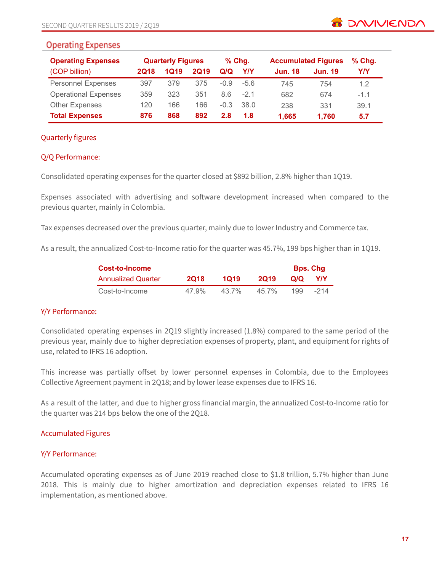# **Operating Expenses**

| <b>Operating Expenses</b>   |             | <b>Quarterly Figures</b> |             |        | $%$ Chg. |                | <b>Accumulated Figures</b> | $%$ Chg. |
|-----------------------------|-------------|--------------------------|-------------|--------|----------|----------------|----------------------------|----------|
| (COP billion)               | <b>2Q18</b> | 1Q19                     | <b>2Q19</b> | Q/Q    | YN       | <b>Jun. 18</b> | <b>Jun. 19</b>             | Y/Y      |
| <b>Personnel Expenses</b>   | 397         | 379                      | 375         | $-0.9$ | -56      | 745            | 754                        | 1.2      |
| <b>Operational Expenses</b> | 359         | 323                      | 351         | 8.6    | $-21$    | 682            | 674                        | $-1.1$   |
| <b>Other Expenses</b>       | 120         | 166                      | 166         | $-0.3$ | 38.0     | 238            | 331                        | 39.1     |
| <b>Total Expenses</b>       | 876         | 868                      | 892         | 2.8    | 1.8      | 1.665          | 1.760                      | 5.7      |

# Quarterly figures

# Q/Q Performance:

Consolidated operating expenses for the quarter closed at \$892 billion, 2.8% higher than 1Q19.

Expenses associated with advertising and software development increased when compared to the previous quarter, mainly in Colombia.

Tax expenses decreased over the previous quarter, mainly due to lower Industry and Commerce tax.

As a result, the annualized Cost-to-Income ratio for the quarter was 45.7%, 199 bps higher than in 1Q19.

| <b>Cost-to-Income</b>     |             | <b>Bps. Chg</b> |             |     |      |
|---------------------------|-------------|-----------------|-------------|-----|------|
| <b>Annualized Quarter</b> | <b>2Q18</b> | 1019            | <b>2019</b> | Q/Q | Y/Y  |
| Cost-to-Income            | 47.9%       | 43.7%           | 45 7%       | 199 | -214 |

# Y/Y Performance:

Consolidated operating expenses in 2Q19 slightly increased (1.8%) compared to the same period of the previous year, mainly due to higher depreciation expenses of property, plant, and equipment for rights of use, related to IFRS 16 adoption.

This increase was partially offset by lower personnel expenses in Colombia, due to the Employees Collective Agreement payment in 2Q18; and by lower lease expenses due to IFRS 16.

As a result of the latter, and due to higher gross financial margin, the annualized Cost-to-Income ratio for the quarter was 214 bps below the one of the 2Q18.

### Accumulated Figures

### Y/Y Performance:

Accumulated operating expenses as of June 2019 reached close to \$1.8 trillion, 5.7% higher than June 2018. This is mainly due to higher amortization and depreciation expenses related to IFRS 16 implementation, as mentioned above.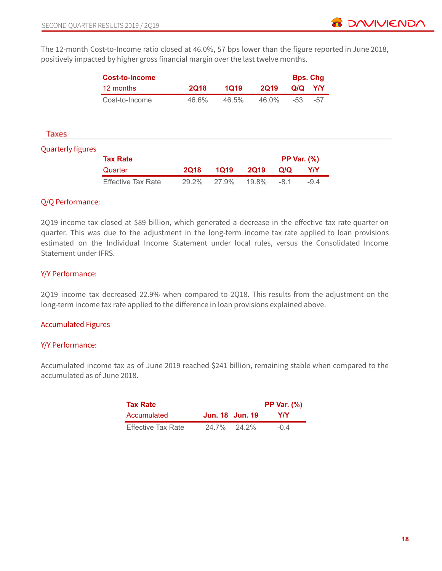The 12-month Cost-to-Income ratio closed at 46.0%, 57 bps lower than the figure reported in June 2018, positively impacted by higher gross financial margin over the last twelve months.

|                          | <b>Cost-to-Income</b> |             |             |             |                    | <b>Bps. Chg</b> |
|--------------------------|-----------------------|-------------|-------------|-------------|--------------------|-----------------|
|                          | 12 months             | <b>2Q18</b> | <b>1Q19</b> | <b>2Q19</b> | Q/Q                | <b>Y/Y</b>      |
|                          | Cost-to-Income        | 46.6%       | 46.5%       | 46.0%       | $-53$              | $-57$           |
|                          |                       |             |             |             |                    |                 |
| Taxes                    |                       |             |             |             |                    |                 |
|                          |                       |             |             |             |                    |                 |
| <b>Quarterly figures</b> |                       |             |             |             |                    |                 |
|                          | <b>Tax Rate</b>       |             |             |             | <b>PP Var. (%)</b> |                 |
|                          | Quarter               | <b>2Q18</b> | <b>1Q19</b> | <b>2Q19</b> | Q/Q                | Y/Y             |

### Q/Q Performance:

2Q19 income tax closed at \$89 billion, which generated a decrease in the effective tax rate quarter on quarter. This was due to the adjustment in the long-term income tax rate applied to loan provisions estimated on the Individual Income Statement under local rules, versus the Consolidated Income Statement under IFRS.

### Y/Y Performance:

2Q19 income tax decreased 22.9% when compared to 2Q18. This results from the adjustment on the long-term income tax rate applied to the difference in loan provisions explained above.

### Accumulated Figures

### Y/Y Performance:

Accumulated income tax as of June 2019 reached \$241 billion, remaining stable when compared to the accumulated as of June 2018.

| <b>Tax Rate</b>           |                 |       | <b>PP Var. (%)</b> |
|---------------------------|-----------------|-------|--------------------|
| Accumulated               | Jun. 18 Jun. 19 |       | YIY                |
| <b>Effective Tax Rate</b> | 24.7%           | 24.2% | $-0.4$             |